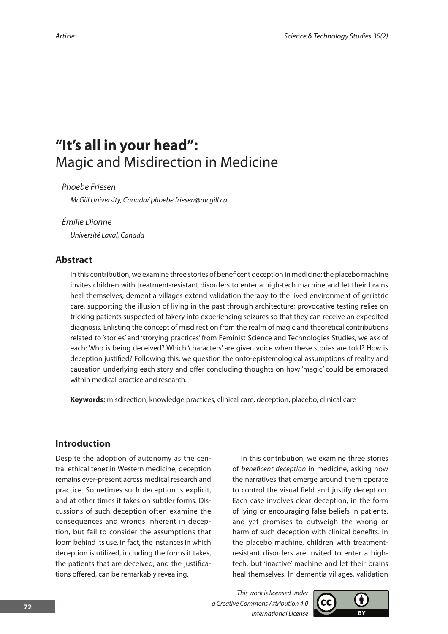# **"It's all in your head":**  Magic and Misdirection in Medicine

*Phoebe Friesen*

*McGill University, Canada/ phoebe.friesen@mcgill.ca* 

## *Émilie Dionne*

*Université Laval, Canada*

# **Abstract**

In this contribution, we examine three stories of beneficent deception in medicine: the placebo machine invites children with treatment-resistant disorders to enter a high-tech machine and let their brains heal themselves; dementia villages extend validation therapy to the lived environment of geriatric care, supporting the illusion of living in the past through architecture; provocative testing relies on tricking patients suspected of fakery into experiencing seizures so that they can receive an expedited diagnosis. Enlisting the concept of misdirection from the realm of magic and theoretical contributions related to 'stories' and 'storying practices' from Feminist Science and Technologies Studies, we ask of each: Who is being deceived? Which 'characters' are given voice when these stories are told? How is deception justified? Following this, we question the onto-epistemological assumptions of reality and causation underlying each story and offer concluding thoughts on how 'magic' could be embraced within medical practice and research.

**Keywords:** misdirection, knowledge practices, clinical care, deception, placebo, clinical care

# **Introduction**

Despite the adoption of autonomy as the central ethical tenet in Western medicine, deception remains ever-present across medical research and practice. Sometimes such deception is explicit, and at other times it takes on subtler forms. Discussions of such deception often examine the consequences and wrongs inherent in deception, but fail to consider the assumptions that loom behind its use. In fact, the instances in which deception is utilized, including the forms it takes, the patients that are deceived, and the justifications offered, can be remarkably revealing.

In this contribution, we examine three stories of *beneficent deception* in medicine, asking how the narratives that emerge around them operate to control the visual field and justify deception. Each case involves clear deception, in the form of lying or encouraging false beliefs in patients, and yet promises to outweigh the wrong or harm of such deception with clinical benefits. In the placebo machine, children with treatmentresistant disorders are invited to enter a hightech, but 'inactive' machine and let their brains heal themselves. In dementia villages, validation

*This work is licensed under a Creative Commons Attribution 4.0 International License*

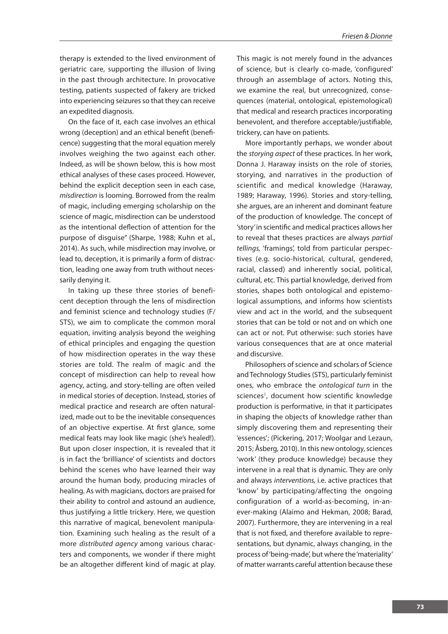therapy is extended to the lived environment of geriatric care, supporting the illusion of living in the past through architecture. In provocative testing, patients suspected of fakery are tricked into experiencing seizures so that they can receive an expedited diagnosis.

On the face of it, each case involves an ethical wrong (deception) and an ethical benefit (beneficence) suggesting that the moral equation merely involves weighing the two against each other. Indeed, as will be shown below, this is how most ethical analyses of these cases proceed. However, behind the explicit deception seen in each case, *misdirection* is looming. Borrowed from the realm of magic, including emerging scholarship on the science of magic, misdirection can be understood as the intentional deflection of attention for the purpose of disguise" (Sharpe, 1988; Kuhn et al., 2014). As such, while misdirection may involve, or lead to, deception, it is primarily a form of distraction, leading one away from truth without necessarily denying it.

In taking up these three stories of beneficent deception through the lens of misdirection and feminist science and technology studies (F/ STS), we aim to complicate the common moral equation, inviting analysis beyond the weighing of ethical principles and engaging the question of how misdirection operates in the way these stories are told. The realm of magic and the concept of misdirection can help to reveal how agency, acting, and story-telling are often veiled in medical stories of deception. Instead, stories of medical practice and research are often naturalized, made out to be the inevitable consequences of an objective expertise. At first glance, some medical feats may look like magic (she's healed!). But upon closer inspection, it is revealed that it is in fact the 'brilliance' of scientists and doctors behind the scenes who have learned their way around the human body, producing miracles of healing. As with magicians, doctors are praised for their ability to control and astound an audience, thus justifying a little trickery. Here, we question this narrative of magical, benevolent manipulation. Examining such healing as the result of a more *distributed agency* among various characters and components, we wonder if there might be an altogether different kind of magic at play.

This magic is not merely found in the advances of science, but is clearly co-made, 'configured' through an assemblage of actors. Noting this, we examine the real, but unrecognized, consequences (material, ontological, epistemological) that medical and research practices incorporating benevolent, and therefore acceptable/justifiable, trickery, can have on patients.

More importantly perhaps, we wonder about the *storying aspect* of these practices. In her work, Donna J. Haraway insists on the role of stories, storying, and narratives in the production of scientific and medical knowledge (Haraway, 1989; Haraway, 1996). Stories and story-telling, she argues, are an inherent and dominant feature of the production of knowledge. The concept of 'story' in scientific and medical practices allows her to reveal that theses practices are always *partial tellings,* 'framings', told from particular perspectives (e.g. socio-historical, cultural, gendered, racial, classed) and inherently social, political, cultural, etc. This partial knowledge, derived from stories, shapes both ontological and epistemological assumptions, and informs how scientists view and act in the world, and the subsequent stories that can be told or not and on which one can act or not. Put otherwise: such stories have various consequences that are at once material and discursive.

Philosophers of science and scholars of Science and Technology Studies (STS), particularly feminist ones, who embrace the *ontological turn* in the sciences<sup>1</sup>, document how scientific knowledge production is performative, in that it participates in shaping the objects of knowledge rather than simply discovering them and representing their 'essences'; (Pickering, 2017; Woolgar and Lezaun, 2015; Åsberg, 2010). In this new ontology, sciences 'work' (they produce knowledge) because they intervene in a real that is dynamic. They are only and always *interventions,* i.e. active practices that 'know' by participating/affecting the ongoing configuration of a world-as-becoming, in-anever-making (Alaimo and Hekman, 2008; Barad, 2007). Furthermore, they are intervening in a real that is not fixed, and therefore available to representations, but dynamic, always changing, in the process of 'being-made', but where the 'materiality' of matter warrants careful attention because these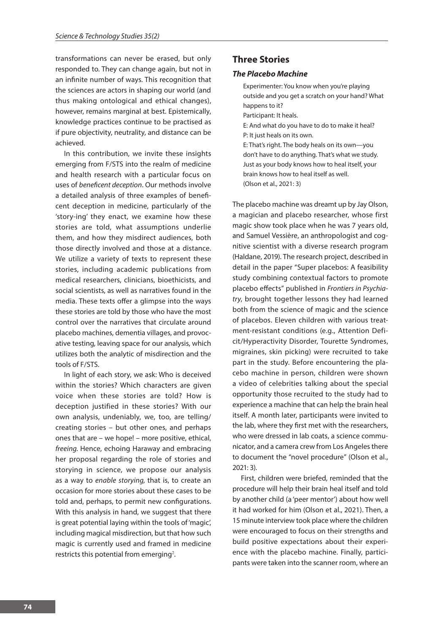transformations can never be erased, but only responded to. They can change again, but not in an infinite number of ways. This recognition that the sciences are actors in shaping our world (and thus making ontological and ethical changes), however, remains marginal at best. Epistemically, knowledge practices continue to be practised as if pure objectivity, neutrality, and distance can be achieved.

In this contribution, we invite these insights emerging from F/STS into the realm of medicine and health research with a particular focus on uses of *beneficent deception*. Our methods involve a detailed analysis of three examples of beneficent deception in medicine, particularly of the 'story-ing' they enact, we examine how these stories are told, what assumptions underlie them, and how they misdirect audiences, both those directly involved and those at a distance. We utilize a variety of texts to represent these stories, including academic publications from medical researchers, clinicians, bioethicists, and social scientists, as well as narratives found in the media. These texts offer a glimpse into the ways these stories are told by those who have the most control over the narratives that circulate around placebo machines, dementia villages, and provocative testing, leaving space for our analysis, which utilizes both the analytic of misdirection and the tools of F/STS.

In light of each story, we ask: Who is deceived within the stories? Which characters are given voice when these stories are told? How is deception justified in these stories? With our own analysis, undeniably, we, too, are telling/ creating stories – but other ones, and perhaps ones that are – we hope! – more positive, ethical, *freeing.* Hence, echoing Haraway and embracing her proposal regarding the role of stories and storying in science, we propose our analysis as a way to *enable storying,* that is, to create an occasion for more stories about these cases to be told and, perhaps, to permit new configurations. With this analysis in hand, we suggest that there is great potential laying within the tools of 'magic', including magical misdirection, but that how such magic is currently used and framed in medicine restricts this potential from emerging<sup>2</sup>.

# **Three Stories**

## *The Placebo Machine*

Experimenter: You know when you're playing outside and you get a scratch on your hand? What happens to it? Participant: It heals. E: And what do you have to do to make it heal? P: It just heals on its own. E: That's right. The body heals on its own—you don't have to do anything. That's what we study. Just as your body knows how to heal itself, your brain knows how to heal itself as well. (Olson et al., 2021: 3)

The placebo machine was dreamt up by Jay Olson, a magician and placebo researcher, whose first magic show took place when he was 7 years old, and Samuel Vessière, an anthropologist and cognitive scientist with a diverse research program (Haldane, 2019). The research project, described in detail in the paper "Super placebos: A feasibility study combining contextual factors to promote placebo effects" published in *Frontiers in Psychiatry*, brought together lessons they had learned both from the science of magic and the science of placebos. Eleven children with various treatment-resistant conditions (e.g., Attention Deficit/Hyperactivity Disorder, Tourette Syndromes, migraines, skin picking) were recruited to take part in the study. Before encountering the placebo machine in person, children were shown a video of celebrities talking about the special opportunity those recruited to the study had to experience a machine that can help the brain heal itself. A month later, participants were invited to the lab, where they first met with the researchers, who were dressed in lab coats, a science communicator, and a camera crew from Los Angeles there to document the "novel procedure" (Olson et al., 2021: 3).

First, children were briefed, reminded that the procedure will help their brain heal itself and told by another child (a 'peer mentor') about how well it had worked for him (Olson et al., 2021). Then, a 15 minute interview took place where the children were encouraged to focus on their strengths and build positive expectations about their experience with the placebo machine. Finally, participants were taken into the scanner room, where an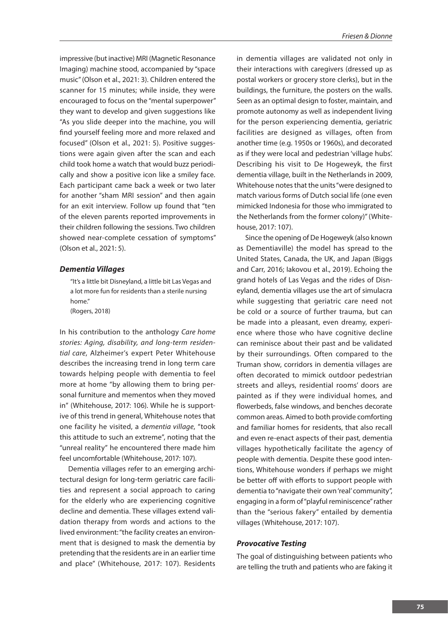impressive (but inactive) MRI (Magnetic Resonance Imaging) machine stood, accompanied by "space music" (Olson et al., 2021: 3). Children entered the scanner for 15 minutes; while inside, they were encouraged to focus on the "mental superpower" they want to develop and given suggestions like "As you slide deeper into the machine, you will find yourself feeling more and more relaxed and focused" (Olson et al., 2021: 5). Positive suggestions were again given after the scan and each child took home a watch that would buzz periodically and show a positive icon like a smiley face. Each participant came back a week or two later for another "sham MRI session" and then again for an exit interview. Follow up found that "ten of the eleven parents reported improvements in their children following the sessions. Two children showed near-complete cessation of symptoms" (Olson et al., 2021: 5).

#### *Dementia Villages*

"It's a little bit Disneyland, a little bit Las Vegas and a lot more fun for residents than a sterile nursing home." (Rogers, 2018)

In his contribution to the anthology *Care home stories: Aging, disability, and long-term residential care*, Alzheimer's expert Peter Whitehouse describes the increasing trend in long term care towards helping people with dementia to feel more at home "by allowing them to bring personal furniture and mementos when they moved in" (Whitehouse, 2017: 106). While he is supportive of this trend in general, Whitehouse notes that one facility he visited, a *dementia village*, "took this attitude to such an extreme", noting that the "unreal reality" he encountered there made him feel uncomfortable (Whitehouse, 2017: 107).

Dementia villages refer to an emerging architectural design for long-term geriatric care facilities and represent a social approach to caring for the elderly who are experiencing cognitive decline and dementia. These villages extend validation therapy from words and actions to the lived environment: "the facility creates an environment that is designed to mask the dementia by pretending that the residents are in an earlier time and place" (Whitehouse, 2017: 107). Residents in dementia villages are validated not only in their interactions with caregivers (dressed up as postal workers or grocery store clerks), but in the buildings, the furniture, the posters on the walls. Seen as an optimal design to foster, maintain, and promote autonomy as well as independent living for the person experiencing dementia, geriatric facilities are designed as villages, often from another time (e.g. 1950s or 1960s), and decorated as if they were local and pedestrian 'village hubs'. Describing his visit to De Hogeweyk, the first dementia village, built in the Netherlands in 2009, Whitehouse notes that the units "were designed to match various forms of Dutch social life (one even mimicked Indonesia for those who immigrated to the Netherlands from the former colony)" (Whitehouse, 2017: 107).

Since the opening of De Hogeweyk (also known as Dementiaville) the model has spread to the United States, Canada, the UK, and Japan (Biggs and Carr, 2016; Iakovou et al., 2019). Echoing the grand hotels of Las Vegas and the rides of Disneyland, dementia villages use the art of simulacra while suggesting that geriatric care need not be cold or a source of further trauma, but can be made into a pleasant, even dreamy, experience where those who have cognitive decline can reminisce about their past and be validated by their surroundings. Often compared to the Truman show, corridors in dementia villages are often decorated to mimick outdoor pedestrian streets and alleys, residential rooms' doors are painted as if they were individual homes, and flowerbeds, false windows, and benches decorate common areas. Aimed to both provide comforting and familiar homes for residents, that also recall and even re-enact aspects of their past, dementia villages hypothetically facilitate the agency of people with dementia. Despite these good intentions, Whitehouse wonders if perhaps we might be better off with efforts to support people with dementia to "navigate their own 'real' community", engaging in a form of "playful reminiscence" rather than the "serious fakery" entailed by dementia villages (Whitehouse, 2017: 107).

#### *Provocative Testing*

The goal of distinguishing between patients who are telling the truth and patients who are faking it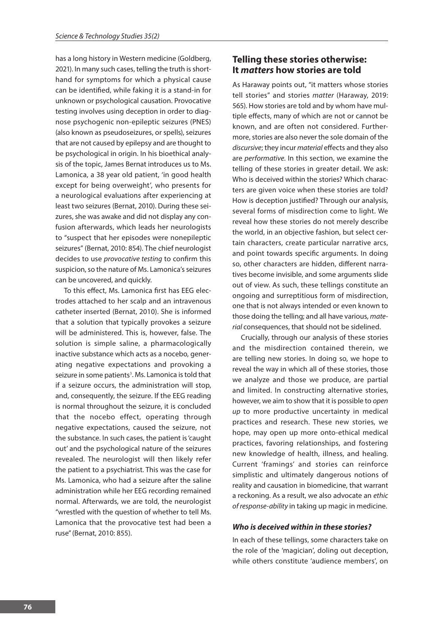has a long history in Western medicine (Goldberg, 2021). In many such cases, telling the truth is shorthand for symptoms for which a physical cause can be identified, while faking it is a stand-in for unknown or psychological causation. Provocative testing involves using deception in order to diagnose psychogenic non-epileptic seizures (PNES) (also known as pseudoseizures, or spells), seizures that are not caused by epilepsy and are thought to be psychological in origin. In his bioethical analysis of the topic, James Bernat introduces us to Ms. Lamonica, a 38 year old patient, 'in good health except for being overweight', who presents for a neurological evaluations after experiencing at least two seizures (Bernat, 2010). During these seizures, she was awake and did not display any confusion afterwards, which leads her neurologists to "suspect that her episodes were nonepileptic seizures" (Bernat, 2010: 854). The chief neurologist decides to use *provocative testing* to confirm this suspicion, so the nature of Ms. Lamonica's seizures can be uncovered, and quickly.

To this effect, Ms. Lamonica first has EEG electrodes attached to her scalp and an intravenous catheter inserted (Bernat, 2010). She is informed that a solution that typically provokes a seizure will be administered. This is, however, false. The solution is simple saline, a pharmacologically inactive substance which acts as a nocebo, generating negative expectations and provoking a seizure in some patients<sup>3</sup>. Ms. Lamonica is told that if a seizure occurs, the administration will stop, and, consequently, the seizure. If the EEG reading is normal throughout the seizure, it is concluded that the nocebo effect, operating through negative expectations, caused the seizure, not the substance. In such cases, the patient is 'caught out' and the psychological nature of the seizures revealed. The neurologist will then likely refer the patient to a psychiatrist. This was the case for Ms. Lamonica, who had a seizure after the saline administration while her EEG recording remained normal. Afterwards, we are told, the neurologist "wrestled with the question of whether to tell Ms. Lamonica that the provocative test had been a ruse" (Bernat, 2010: 855).

# **Telling these stories otherwise: It** *matters* **how stories are told**

As Haraway points out, "it matters whose stories tell stories" and stories *matter* (Haraway, 2019: 565). How stories are told and by whom have multiple effects, many of which are not or cannot be known, and are often not considered. Furthermore, stories are also never the sole domain of the *discursive*; they incur *material* effects and they also are *performative.* In this section, we examine the telling of these stories in greater detail. We ask: Who is deceived within the stories? Which characters are given voice when these stories are told? How is deception justified? Through our analysis, several forms of misdirection come to light. We reveal how these stories do not merely describe the world, in an objective fashion, but select certain characters, create particular narrative arcs, and point towards specific arguments. In doing so, other characters are hidden, different narratives become invisible, and some arguments slide out of view. As such, these tellings constitute an ongoing and surreptitious form of misdirection, one that is not always intended or even known to those doing the telling; and all have various*, material* consequences, that should not be sidelined.

Crucially, through our analysis of these stories and the misdirection contained therein, we are telling new stories. In doing so, we hope to reveal the way in which all of these stories, those we analyze and those we produce, are partial and limited. In constructing alternative stories, however, we aim to show that it is possible to *open up* to more productive uncertainty in medical practices and research. These new stories, we hope, may open up more onto-ethical medical practices, favoring relationships, and fostering new knowledge of health, illness, and healing. Current 'framings' and stories can reinforce simplistic and ultimately dangerous notions of reality and causation in biomedicine, that warrant a reckoning. As a result, we also advocate an *ethic of response-ability* in taking up magic in medicine.

#### *Who is deceived within in these stories?*

In each of these tellings, some characters take on the role of the 'magician', doling out deception, while others constitute 'audience members', on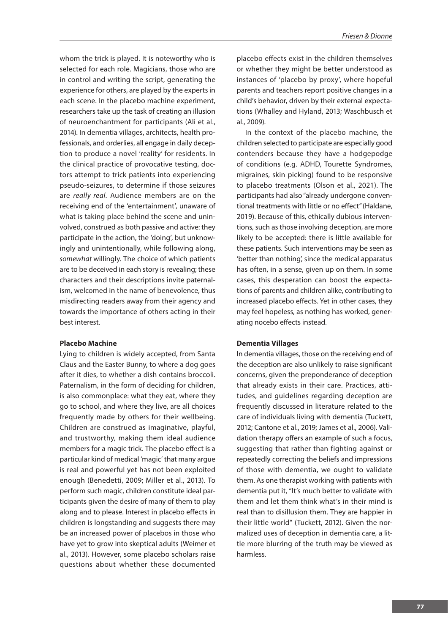whom the trick is played. It is noteworthy who is selected for each role. Magicians, those who are in control and writing the script, generating the experience for others, are played by the experts in each scene. In the placebo machine experiment, researchers take up the task of creating an illusion of neuroenchantment for participants (Ali et al., 2014). In dementia villages, architects, health professionals, and orderlies, all engage in daily deception to produce a novel 'reality' for residents. In the clinical practice of provocative testing, doctors attempt to trick patients into experiencing pseudo-seizures, to determine if those seizures are *really real*. Audience members are on the receiving end of the 'entertainment', unaware of what is taking place behind the scene and uninvolved, construed as both passive and active: they participate in the action, the 'doing', but unknowingly and unintentionally, while following along, *somewhat* willingly. The choice of which patients are to be deceived in each story is revealing; these characters and their descriptions invite paternalism, welcomed in the name of benevolence, thus misdirecting readers away from their agency and towards the importance of others acting in their best interest.

#### **Placebo Machine**

Lying to children is widely accepted, from Santa Claus and the Easter Bunny, to where a dog goes after it dies, to whether a dish contains broccoli. Paternalism, in the form of deciding for children, is also commonplace: what they eat, where they go to school, and where they live, are all choices frequently made by others for their wellbeing. Children are construed as imaginative, playful, and trustworthy, making them ideal audience members for a magic trick. The placebo effect is a particular kind of medical 'magic' that many argue is real and powerful yet has not been exploited enough (Benedetti, 2009; Miller et al., 2013). To perform such magic, children constitute ideal participants given the desire of many of them to play along and to please. Interest in placebo effects in children is longstanding and suggests there may be an increased power of placebos in those who have yet to grow into skeptical adults (Weimer et al., 2013). However, some placebo scholars raise questions about whether these documented

placebo effects exist in the children themselves or whether they might be better understood as instances of 'placebo by proxy', where hopeful parents and teachers report positive changes in a child's behavior, driven by their external expectations (Whalley and Hyland, 2013; Waschbusch et al., 2009).

In the context of the placebo machine, the children selected to participate are especially good contenders because they have a hodgepodge of conditions (e.g. ADHD, Tourette Syndromes, migraines, skin picking) found to be responsive to placebo treatments (Olson et al., 2021). The participants had also "already undergone conventional treatments with little or no effect" (Haldane, 2019). Because of this, ethically dubious interventions, such as those involving deception, are more likely to be accepted: there is little available for these patients. Such interventions may be seen as 'better than nothing', since the medical apparatus has often, in a sense, given up on them. In some cases, this desperation can boost the expectations of parents and children alike, contributing to increased placebo effects. Yet in other cases, they may feel hopeless, as nothing has worked, generating nocebo effects instead.

#### **Dementia Villages**

In dementia villages, those on the receiving end of the deception are also unlikely to raise significant concerns, given the preponderance of deception that already exists in their care. Practices, attitudes, and guidelines regarding deception are frequently discussed in literature related to the care of individuals living with dementia (Tuckett, 2012; Cantone et al., 2019; James et al., 2006). Validation therapy offers an example of such a focus, suggesting that rather than fighting against or repeatedly correcting the beliefs and impressions of those with dementia, we ought to validate them. As one therapist working with patients with dementia put it, "It's much better to validate with them and let them think what's in their mind is real than to disillusion them. They are happier in their little world" (Tuckett, 2012). Given the normalized uses of deception in dementia care, a little more blurring of the truth may be viewed as harmless.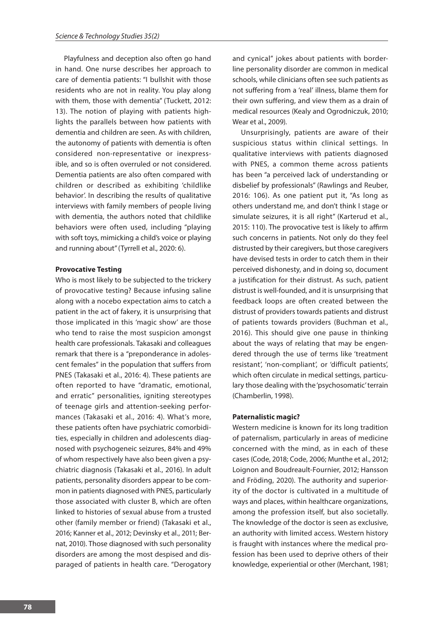Playfulness and deception also often go hand in hand. One nurse describes her approach to care of dementia patients: "I bullshit with those residents who are not in reality. You play along with them, those with dementia" (Tuckett, 2012: 13). The notion of playing with patients highlights the parallels between how patients with dementia and children are seen. As with children, the autonomy of patients with dementia is often considered non-representative or inexpressible, and so is often overruled or not considered. Dementia patients are also often compared with children or described as exhibiting 'childlike behavior'. In describing the results of qualitative interviews with family members of people living with dementia, the authors noted that childlike behaviors were often used, including "playing with soft toys, mimicking a child's voice or playing and running about" (Tyrrell et al., 2020: 6).

#### **Provocative Testing**

Who is most likely to be subjected to the trickery of provocative testing? Because infusing saline along with a nocebo expectation aims to catch a patient in the act of fakery, it is unsurprising that those implicated in this 'magic show' are those who tend to raise the most suspicion amongst health care professionals. Takasaki and colleagues remark that there is a "preponderance in adolescent females" in the population that suffers from PNES (Takasaki et al., 2016: 4). These patients are often reported to have "dramatic, emotional, and erratic" personalities, igniting stereotypes of teenage girls and attention-seeking performances (Takasaki et al., 2016: 4). What's more, these patients often have psychiatric comorbidities, especially in children and adolescents diagnosed with psychogeneic seizures, 84% and 49% of whom respectively have also been given a psychiatric diagnosis (Takasaki et al., 2016). In adult patients, personality disorders appear to be common in patients diagnosed with PNES, particularly those associated with cluster B, which are often linked to histories of sexual abuse from a trusted other (family member or friend) (Takasaki et al., 2016; Kanner et al., 2012; Devinsky et al., 2011; Bernat, 2010). Those diagnosed with such personality disorders are among the most despised and disparaged of patients in health care. "Derogatory

and cynical" jokes about patients with borderline personality disorder are common in medical schools, while clinicians often see such patients as not suffering from a 'real' illness, blame them for their own suffering, and view them as a drain of medical resources (Kealy and Ogrodniczuk, 2010; Wear et al., 2009).

Unsurprisingly, patients are aware of their suspicious status within clinical settings. In qualitative interviews with patients diagnosed with PNES, a common theme across patients has been "a perceived lack of understanding or disbelief by professionals" (Rawlings and Reuber, 2016: 106). As one patient put it, "As long as others understand me, and don't think I stage or simulate seizures, it is all right" (Karterud et al., 2015: 110). The provocative test is likely to affirm such concerns in patients. Not only do they feel distrusted by their caregivers, but those caregivers have devised tests in order to catch them in their perceived dishonesty, and in doing so, document a justification for their distrust. As such, patient distrust is well-founded, and it is unsurprising that feedback loops are often created between the distrust of providers towards patients and distrust of patients towards providers (Buchman et al., 2016). This should give one pause in thinking about the ways of relating that may be engendered through the use of terms like 'treatment resistant', 'non-compliant', or 'difficult patients', which often circulate in medical settings, particulary those dealing with the 'psychosomatic' terrain (Chamberlin, 1998).

#### **Paternalistic magic?**

Western medicine is known for its long tradition of paternalism, particularly in areas of medicine concerned with the mind, as in each of these cases (Code, 2018; Code, 2006; Munthe et al., 2012; Loignon and Boudreault-Fournier, 2012; Hansson and Fröding, 2020). The authority and superiority of the doctor is cultivated in a multitude of ways and places, within healthcare organizations, among the profession itself, but also societally. The knowledge of the doctor is seen as exclusive, an authority with limited access. Western history is fraught with instances where the medical profession has been used to deprive others of their knowledge, experiential or other (Merchant, 1981;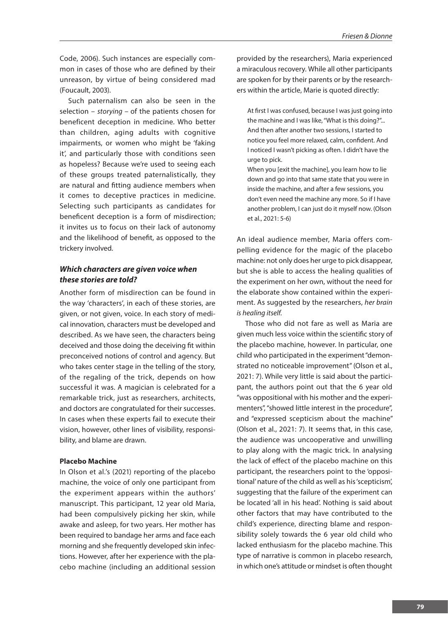Code, 2006). Such instances are especially common in cases of those who are defined by their unreason, by virtue of being considered mad (Foucault, 2003).

Such paternalism can also be seen in the selection – *storying –* of the patients chosen for beneficent deception in medicine. Who better than children, aging adults with cognitive impairments, or women who might be 'faking it', and particularly those with conditions seen as hopeless? Because we're used to seeing each of these groups treated paternalistically, they are natural and fitting audience members when it comes to deceptive practices in medicine. Selecting such participants as candidates for beneficent deception is a form of misdirection; it invites us to focus on their lack of autonomy and the likelihood of benefit, as opposed to the trickery involved.

## *Which characters are given voice when these stories are told?*

Another form of misdirection can be found in the way 'characters', in each of these stories, are given, or not given, voice. In each story of medical innovation, characters must be developed and described. As we have seen, the characters being deceived and those doing the deceiving fit within preconceived notions of control and agency. But who takes center stage in the telling of the story, of the regaling of the trick, depends on how successful it was. A magician is celebrated for a remarkable trick, just as researchers, architects, and doctors are congratulated for their successes. In cases when these experts fail to execute their vision, however, other lines of visibility, responsibility, and blame are drawn.

#### **Placebo Machine**

In Olson et al.'s (2021) reporting of the placebo machine, the voice of only one participant from the experiment appears within the authors' manuscript. This participant, 12 year old Maria, had been compulsively picking her skin, while awake and asleep, for two years. Her mother has been required to bandage her arms and face each morning and she frequently developed skin infections. However, after her experience with the placebo machine (including an additional session

provided by the researchers), Maria experienced a miraculous recovery. While all other participants are spoken for by their parents or by the researchers within the article, Marie is quoted directly:

At first I was confused, because I was just going into the machine and I was like, "What is this doing?"... And then after another two sessions, I started to notice you feel more relaxed, calm, confident. And I noticed I wasn't picking as often. I didn't have the urge to pick.

When you [exit the machine], you learn how to lie down and go into that same state that you were in inside the machine, and after a few sessions, you don't even need the machine any more. So if I have another problem, I can just do it myself now. (Olson et al., 2021: 5-6)

An ideal audience member, Maria offers compelling evidence for the magic of the placebo machine: not only does her urge to pick disappear, but she is able to access the healing qualities of the experiment on her own, without the need for the elaborate show contained within the experiment. As suggested by the researchers, *her brain is healing itself*.

Those who did not fare as well as Maria are given much less voice within the scientific story of the placebo machine, however. In particular, one child who participated in the experiment "demonstrated no noticeable improvement" (Olson et al., 2021: 7). While very little is said about the participant, the authors point out that the 6 year old "was oppositional with his mother and the experimenters", "showed little interest in the procedure", and "expressed scepticism about the machine" (Olson et al., 2021: 7). It seems that, in this case, the audience was uncooperative and unwilling to play along with the magic trick. In analysing the lack of effect of the placebo machine on this participant, the researchers point to the 'oppositional' nature of the child as well as his 'scepticism', suggesting that the failure of the experiment can be located 'all in his head'. Nothing is said about other factors that may have contributed to the child's experience, directing blame and responsibility solely towards the 6 year old child who lacked enthusiasm for the placebo machine. This type of narrative is common in placebo research, in which one's attitude or mindset is often thought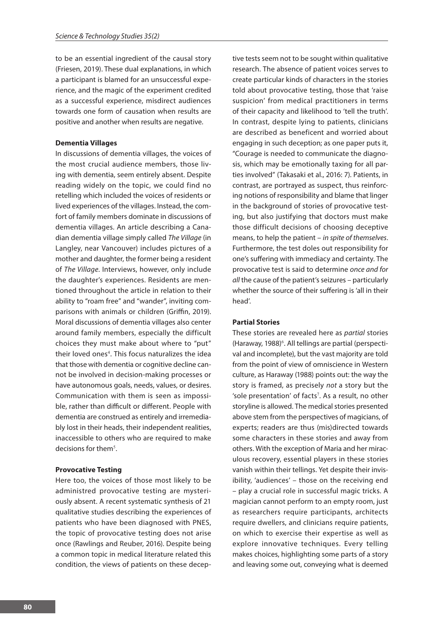to be an essential ingredient of the causal story (Friesen, 2019). These dual explanations, in which a participant is blamed for an unsuccessful experience, and the magic of the experiment credited as a successful experience, misdirect audiences towards one form of causation when results are positive and another when results are negative.

#### **Dementia Villages**

In discussions of dementia villages, the voices of the most crucial audience members, those living with dementia, seem entirely absent. Despite reading widely on the topic, we could find no retelling which included the voices of residents or lived experiences of the villages. Instead, the comfort of family members dominate in discussions of dementia villages. An article describing a Canadian dementia village simply called *The Village* (in Langley, near Vancouver) includes pictures of a mother and daughter, the former being a resident of *The Village*. Interviews, however, only include the daughter's experiences. Residents are mentioned throughout the article in relation to their ability to "roam free" and "wander", inviting comparisons with animals or children (Griffin, 2019). Moral discussions of dementia villages also center around family members, especially the difficult choices they must make about where to "put" their loved ones<sup>4</sup>. This focus naturalizes the idea that those with dementia or cognitive decline cannot be involved in decision-making processes or have autonomous goals, needs, values, or desires. Communication with them is seen as impossible, rather than difficult or different. People with dementia are construed as entirely and irremediably lost in their heads, their independent realities, inaccessible to others who are required to make decisions for them<sup>5</sup>.

#### **Provocative Testing**

Here too, the voices of those most likely to be administred provocative testing are mysteriously absent. A recent systematic synthesis of 21 qualitative studies describing the experiences of patients who have been diagnosed with PNES, the topic of provocative testing does not arise once (Rawlings and Reuber, 2016). Despite being a common topic in medical literature related this condition, the views of patients on these decep-

tive tests seem not to be sought within qualitative research. The absence of patient voices serves to create particular kinds of characters in the stories told about provocative testing, those that 'raise suspicion' from medical practitioners in terms of their capacity and likelihood to 'tell the truth'. In contrast, despite lying to patients, clinicians are described as beneficent and worried about engaging in such deception; as one paper puts it, "Courage is needed to communicate the diagnosis, which may be emotionally taxing for all parties involved" (Takasaki et al., 2016: 7). Patients, in contrast, are portrayed as suspect, thus reinforcing notions of responsibility and blame that linger in the background of stories of provocative testing, but also justifying that doctors must make those difficult decisions of choosing deceptive means, to help the patient – *in spite of themselves*. Furthermore, the test doles out responsibility for one's suffering with immediacy and certainty. The provocative test is said to determine *once and for all* the cause of the patient's seizures – particularly whether the source of their suffering is 'all in their head'.

#### **Partial Stories**

These stories are revealed here as *partial* stories (Haraway, 1988)<sup>6</sup>. All tellings are partial (perspectival and incomplete), but the vast majority are told from the point of view of omniscience in Western culture, as Haraway (1988) points out: the way the story is framed, as precisely *not* a story but the 'sole presentation' of facts<sup>7</sup>. As a result, no other storyline is allowed. The medical stories presented above stem from the perspectives of magicians, of experts; readers are thus (mis)directed towards some characters in these stories and away from others. With the exception of Maria and her miraculous recovery, essential players in these stories vanish within their tellings. Yet despite their invisibility, 'audiences' – those on the receiving end – play a crucial role in successful magic tricks. A magician cannot perform to an empty room, just as researchers require participants, architects require dwellers, and clinicians require patients, on which to exercise their expertise as well as explore innovative techniques. Every telling makes choices, highlighting some parts of a story and leaving some out, conveying what is deemed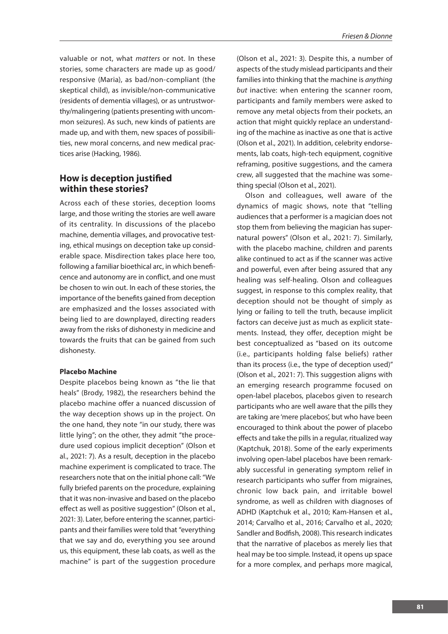valuable or not, what *matters* or not. In these stories, some characters are made up as good/ responsive (Maria), as bad/non-compliant (the skeptical child), as invisible/non-communicative (residents of dementia villages), or as untrustworthy/malingering (patients presenting with uncommon seizures). As such, new kinds of patients are made up, and with them, new spaces of possibilities, new moral concerns, and new medical practices arise (Hacking, 1986).

# **How is deception justified within these stories?**

Across each of these stories, deception looms large, and those writing the stories are well aware of its centrality. In discussions of the placebo machine, dementia villages, and provocative testing, ethical musings on deception take up considerable space. Misdirection takes place here too, following a familiar bioethical arc, in which beneficence and autonomy are in conflict, and one must be chosen to win out. In each of these stories, the importance of the benefits gained from deception are emphasized and the losses associated with being lied to are downplayed, directing readers away from the risks of dishonesty in medicine and towards the fruits that can be gained from such dishonesty.

#### **Placebo Machine**

Despite placebos being known as "the lie that heals" (Brody, 1982), the researchers behind the placebo machine offer a nuanced discussion of the way deception shows up in the project. On the one hand, they note "in our study, there was little lying"; on the other, they admit "the procedure used copious implicit deception" (Olson et al., 2021: 7). As a result, deception in the placebo machine experiment is complicated to trace. The researchers note that on the initial phone call: "We fully briefed parents on the procedure, explaining that it was non-invasive and based on the placebo effect as well as positive suggestion" (Olson et al., 2021: 3). Later, before entering the scanner, participants and their families were told that "everything that we say and do, everything you see around us, this equipment, these lab coats, as well as the machine" is part of the suggestion procedure

(Olson et al., 2021: 3). Despite this, a number of aspects of the study mislead participants and their families into thinking that the machine is *anything but* inactive: when entering the scanner room, participants and family members were asked to remove any metal objects from their pockets, an action that might quickly replace an understanding of the machine as inactive as one that is active (Olson et al., 2021). In addition, celebrity endorsements, lab coats, high-tech equipment, cognitive reframing, positive suggestions, and the camera crew, all suggested that the machine was something special (Olson et al., 2021).

Olson and colleagues, well aware of the dynamics of magic shows, note that "telling audiences that a performer is a magician does not stop them from believing the magician has supernatural powers" (Olson et al., 2021: 7). Similarly, with the placebo machine, children and parents alike continued to act as if the scanner was active and powerful, even after being assured that any healing was self-healing. Olson and colleagues suggest, in response to this complex reality, that deception should not be thought of simply as lying or failing to tell the truth, because implicit factors can deceive just as much as explicit statements. Instead, they offer, deception might be best conceptualized as "based on its outcome (i.e., participants holding false beliefs) rather than its process (i.e., the type of deception used)" (Olson et al., 2021: 7). This suggestion aligns with an emerging research programme focused on open-label placebos, placebos given to research participants who are well aware that the pills they are taking are 'mere placebos', but who have been encouraged to think about the power of placebo effects and take the pills in a regular, ritualized way (Kaptchuk, 2018). Some of the early experiments involving open-label placebos have been remarkably successful in generating symptom relief in research participants who suffer from migraines, chronic low back pain, and irritable bowel syndrome, as well as children with diagnoses of ADHD (Kaptchuk et al., 2010; Kam-Hansen et al., 2014; Carvalho et al., 2016; Carvalho et al., 2020; Sandler and Bodfish, 2008). This research indicates that the narrative of placebos as merely lies that heal may be too simple. Instead, it opens up space for a more complex, and perhaps more magical,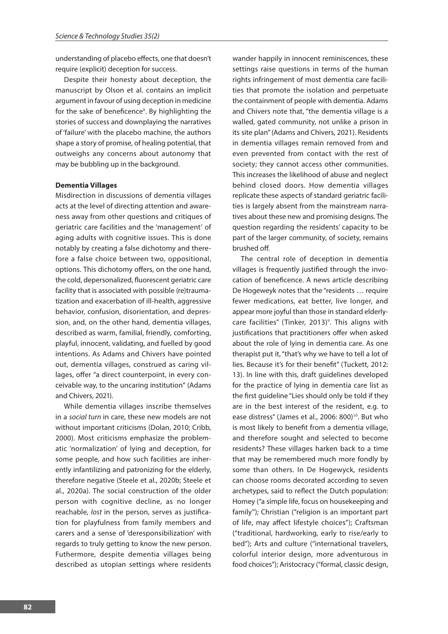understanding of placebo effects, one that doesn't require (explicit) deception for success.

Despite their honesty about deception, the manuscript by Olson et al. contains an implicit argument in favour of using deception in medicine for the sake of beneficence<sup>8</sup>. By highlighting the stories of success and downplaying the narratives of 'failure' with the placebo machine, the authors shape a story of promise, of healing potential, that outweighs any concerns about autonomy that may be bubbling up in the background.

#### **Dementia Villages**

Misdirection in discussions of dementia villages acts at the level of directing attention and awareness away from other questions and critiques of geriatric care facilities and the 'management' of aging adults with cognitive issues. This is done notably by creating a false dichotomy and therefore a false choice between two, oppositional, options. This dichotomy offers, on the one hand, the cold, depersonalized, fluorescent geriatric care facility that is associated with possible (re)traumatization and exacerbation of ill-health, aggressive behavior, confusion, disorientation, and depression, and, on the other hand, dementia villages, described as warm, familial, friendly, comforting, playful, innocent, validating, and fuelled by good intentions. As Adams and Chivers have pointed out, dementia villages, construed as caring villages, offer "a direct counterpoint, in every conceivable way, to the uncaring institution" (Adams and Chivers, 2021).

While dementia villages inscribe themselves in a *social turn* in care, these new models are not without important criticisms (Dolan, 2010; Cribb, 2000). Most criticisms emphasize the problematic 'normalization' of lying and deception, for some people, and how such facilities are inherently infantilizing and patronizing for the elderly, therefore negative (Steele et al., 2020b; Steele et al., 2020a). The social construction of the older person with cognitive decline, as no longer reachable, *lost* in the person, serves as justification for playfulness from family members and carers and a sense of 'deresponsibilization' with regards to truly getting to know the new person. Futhermore, despite dementia villages being described as utopian settings where residents wander happily in innocent reminiscences, these settings raise questions in terms of the human rights infringement of most dementia care facilities that promote the isolation and perpetuate the containment of people with dementia. Adams and Chivers note that, "the dementia village is a walled, gated community, not unlike a prison in its site plan" (Adams and Chivers, 2021). Residents in dementia villages remain removed from and even prevented from contact with the rest of society; they cannot access other communities. This increases the likelihood of abuse and neglect behind closed doors. How dementia villages replicate these aspects of standard geriatric facilities is largely absent from the mainstream narratives about these new and promising designs. The question regarding the residents' capacity to be part of the larger community, of society, remains brushed off.

The central role of deception in dementia villages is frequently justified through the invocation of beneficence. A news article describing De Hogeweyk notes that the "residents … require fewer medications, eat better, live longer, and appear more joyful than those in standard elderlycare facilities" (Tinker, 2013)<sup>9</sup>. This aligns with justifications that practitioners offer when asked about the role of lying in dementia care. As one therapist put it, "that's why we have to tell a lot of lies. Because it's for their benefit" (Tuckett, 2012: 13). In line with this, draft guidelines developed for the practice of lying in dementia care list as the first guideline "Lies should only be told if they are in the best interest of the resident, e.g. to ease distress" (James et al., 2006: 800)<sup>10</sup>. But who is most likely to benefit from a dementia village, and therefore sought and selected to become residents? These villages harken back to a time that may be remembered much more fondly by some than others. In De Hogewyck, residents can choose rooms decorated according to seven archetypes, said to reflect the Dutch population: Homey ("a simple life, focus on housekeeping and family"); Christian ("religion is an important part of life, may affect lifestyle choices"); Craftsman ("traditional, hardworking, early to rise/early to bed"); Arts and culture ("international travelers, colorful interior design, more adventurous in food choices"); Aristocracy ("formal, classic design,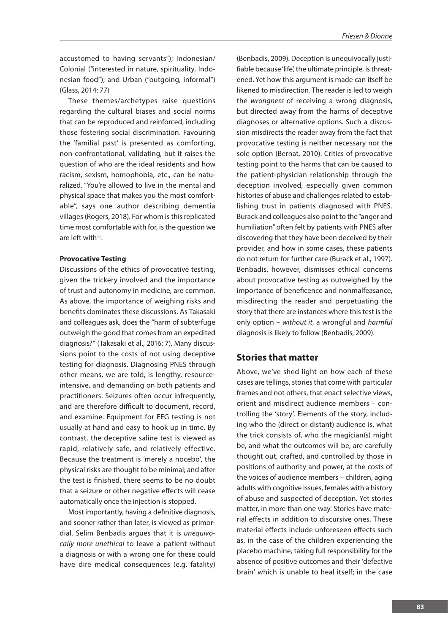accustomed to having servants"); Indonesian/ Colonial ("interested in nature, spirituality, Indonesian food"); and Urban ("outgoing, informal") (Glass, 2014: 77)

These themes/archetypes raise questions regarding the cultural biases and social norms that can be reproduced and reinforced, including those fostering social discrimination. Favouring the 'familial past' is presented as comforting, non-confrontational, validating, but it raises the question of who are the ideal residents and how racism, sexism, homophobia, etc., can be naturalized. "You're allowed to live in the mental and physical space that makes you the most comfortable", says one author describing dementia villages (Rogers, 2018). For whom is this replicated time most comfortable with for, is the question we are left with $11$ .

#### **Provocative Testing**

Discussions of the ethics of provocative testing, given the trickery involved and the importance of trust and autonomy in medicine, are common. As above, the importance of weighing risks and benefits dominates these discussions. As Takasaki and colleagues ask, does the "harm of subterfuge outweigh the good that comes from an expedited diagnosis?" (Takasaki et al., 2016: 7). Many discussions point to the costs of not using deceptive testing for diagnosis. Diagnosing PNES through other means, we are told, is lengthy, resourceintensive, and demanding on both patients and practitioners. Seizures often occur infrequently, and are therefore difficult to document, record, and examine. Equipment for EEG testing is not usually at hand and easy to hook up in time. By contrast, the deceptive saline test is viewed as rapid, relatively safe, and relatively effective. Because the treatment is 'merely a nocebo', the physical risks are thought to be minimal; and after the test is finished, there seems to be no doubt that a seizure or other negative effects will cease automatically once the injection is stopped.

Most importantly, having a definitive diagnosis, and sooner rather than later, is viewed as primordial. Selim Benbadis argues that it is *unequivocally more unethical* to leave a patient without a diagnosis or with a wrong one for these could have dire medical consequences (e.g. fatality)

(Benbadis, 2009). Deception is unequivocally justifiable because 'life', the ultimate principle, is threatened. Yet how this argument is made can itself be likened to misdirection*.* The reader is led to weigh the *wrongness* of receiving a wrong diagnosis, but directed away from the harms of deceptive diagnoses or alternative options. Such a discussion misdirects the reader away from the fact that provocative testing is neither necessary nor the sole option (Bernat, 2010). Critics of provocative testing point to the harms that can be caused to the patient-physician relationship through the deception involved, especially given common histories of abuse and challenges related to establishing trust in patients diagnosed with PNES. Burack and colleagues also point to the "anger and humiliation" often felt by patients with PNES after discovering that they have been deceived by their provider, and how in some cases, these patients do not return for further care (Burack et al., 1997). Benbadis, however, dismisses ethical concerns about provocative testing as outweighed by the importance of beneficence and nonmalfeasance, misdirecting the reader and perpetuating the story that there are instances where this test is the only option – *without it*, a wrongful and *harmful* diagnosis is likely to follow (Benbadis, 2009).

### **Stories that matter**

Above, we've shed light on how each of these cases are tellings, stories that come with particular frames and not others, that enact selective views, orient and misdirect audience members – controlling the 'story'. Elements of the story, including who the (direct or distant) audience is, what the trick consists of, who the magician(s) might be, and what the outcomes will be, are carefully thought out, crafted, and controlled by those in positions of authority and power, at the costs of the voices of audience members – children, aging adults with cognitive issues, females with a history of abuse and suspected of deception. Yet stories matter, in more than one way. Stories have material effects in addition to discursive ones. These material effects include unforeseen effects such as, in the case of the children experiencing the placebo machine, taking full responsibility for the absence of positive outcomes and their 'defective brain' which is unable to heal itself; in the case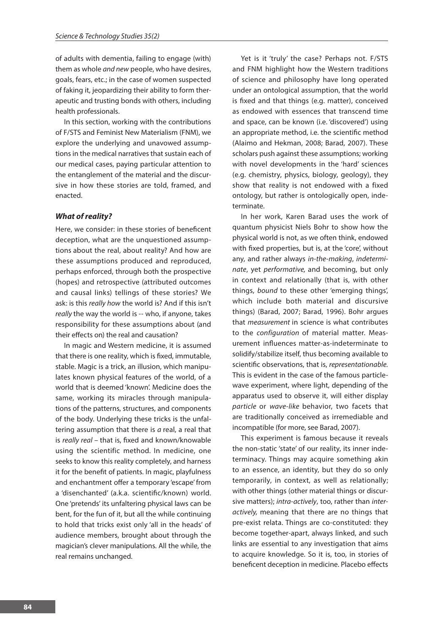of adults with dementia, failing to engage (with) them as whole *and new* people, who have desires, goals, fears, etc.; in the case of women suspected of faking it, jeopardizing their ability to form therapeutic and trusting bonds with others, including health professionals.

In this section, working with the contributions of F/STS and Feminist New Materialism (FNM), we explore the underlying and unavowed assumptions in the medical narratives that sustain each of our medical cases, paying particular attention to the entanglement of the material and the discursive in how these stories are told, framed, and enacted.

#### *What of reality?*

Here, we consider: in these stories of beneficent deception, what are the unquestioned assumptions about the real, about reality? And how are these assumptions produced and reproduced, perhaps enforced, through both the prospective (hopes) and retrospective (attributed outcomes and causal links) tellings of these stories? We ask: is this *really how* the world is? And if this isn't *really* the way the world is -- who, if anyone, takes responsibility for these assumptions about (and their effects on) the real and causation?

In magic and Western medicine, it is assumed that there is one reality, which is fixed, immutable, stable. Magic is a trick, an illusion, which manipulates known physical features of the world, of a world that is deemed 'known'. Medicine does the same, working its miracles through manipulations of the patterns, structures, and components of the body. Underlying these tricks is the unfaltering assumption that there is *a* real, a real that is *really real –* that is, fixed and known/knowable using the scientific method. In medicine, one seeks to know this reality completely, and harness it for the benefit of patients. In magic, playfulness and enchantment offer a temporary 'escape' from a 'disenchanted' (a.k.a. scientific/known) world. One 'pretends' its unfaltering physical laws can be bent, for the fun of it, but all the while continuing to hold that tricks exist only 'all in the heads' of audience members, brought about through the magician's clever manipulations. All the while, the real remains unchanged.

Yet is it 'truly' the case? Perhaps not. F/STS and FNM highlight how the Western traditions of science and philosophy have long operated under an ontological assumption, that the world is fixed and that things (e.g. matter), conceived as endowed with essences that transcend time and space, can be known (i.e. 'discovered') using an appropriate method, i.e. the scientific method (Alaimo and Hekman, 2008; Barad, 2007). These scholars push against these assumptions; working with novel developments in the 'hard' sciences (e.g. chemistry, physics, biology, geology), they show that reality is not endowed with a fixed ontology, but rather is ontologically open, indeterminate.

In her work, Karen Barad uses the work of quantum physicist Niels Bohr to show how the physical world is not, as we often think, endowed with fixed properties, but is, at the 'core', without any, and rather always *in-the-making*, *indeterminate*, yet *performative,* and becoming, but only in context and relationally (that is, with other things, *bound* to these other 'emerging things', which include both material and discursive things) (Barad, 2007; Barad, 1996). Bohr argues that *measurement* in science is what contributes to the *configuration* of material matter. Measurement influences matter-as-indeterminate to solidify/stabilize itself, thus becoming available to scientific observations, that is, *representationable.*  This is evident in the case of the famous particlewave experiment, where light, depending of the apparatus used to observe it, will either display *particle* or *wave-like* behavior, two facets that are traditionally conceived as irremediable and incompatible (for more, see Barad, 2007).

This experiment is famous because it reveals the non-static 'state' of our reality, its inner indeterminacy. Things may acquire something akin to an essence, an identity, but they do so only temporarily, in context, as well as relationally; with other things (other material things or discursive matters); *intra-actively*, too, rather than *interactively,* meaning that there are no things that pre-exist relata. Things are co-constituted: they become together-apart, always linked, and such links are essential to any investigation that aims to acquire knowledge. So it is, too, in stories of beneficent deception in medicine. Placebo effects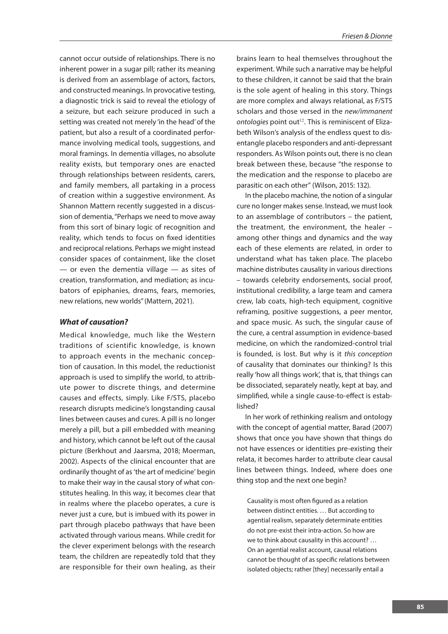cannot occur outside of relationships. There is no inherent power in a sugar pill; rather its meaning is derived from an assemblage of actors, factors, and constructed meanings. In provocative testing, a diagnostic trick is said to reveal the etiology of a seizure, but each seizure produced in such a setting was created not merely 'in the head' of the patient, but also a result of a coordinated performance involving medical tools, suggestions, and moral framings. In dementia villages, no absolute reality exists, but temporary ones are enacted through relationships between residents, carers, and family members, all partaking in a process of creation within a suggestive environment. As Shannon Mattern recently suggested in a discussion of dementia, "Perhaps we need to move away from this sort of binary logic of recognition and reality, which tends to focus on fixed identities and reciprocal relations. Perhaps we might instead consider spaces of containment, like the closet — or even the dementia village — as sites of creation, transformation, and mediation; as incubators of epiphanies, dreams, fears, memories, new relations, new worlds" (Mattern, 2021).

### *What of causation?*

Medical knowledge, much like the Western traditions of scientific knowledge, is known to approach events in the mechanic conception of causation. In this model, the reductionist approach is used to simplify the world, to attribute power to discrete things, and determine causes and effects, simply. Like F/STS, placebo research disrupts medicine's longstanding causal lines between causes and cures. A pill is no longer merely a pill, but a pill embedded with meaning and history, which cannot be left out of the causal picture (Berkhout and Jaarsma, 2018; Moerman, 2002). Aspects of the clinical encounter that are ordinarily thought of as 'the art of medicine' begin to make their way in the causal story of what constitutes healing. In this way, it becomes clear that in realms where the placebo operates, a cure is never just a cure, but is imbued with its power in part through placebo pathways that have been activated through various means. While credit for the clever experiment belongs with the research team, the children are repeatedly told that they are responsible for their own healing, as their brains learn to heal themselves throughout the experiment. While such a narrative may be helpful to these children, it cannot be said that the brain is the sole agent of healing in this story. Things are more complex and always relational, as F/STS scholars and those versed in the *new/immanent*  ontologies point out<sup>12</sup>. This is reminiscent of Elizabeth Wilson's analysis of the endless quest to disentangle placebo responders and anti-depressant responders. As Wilson points out, there is no clean break between these, because "the response to the medication and the response to placebo are parasitic on each other" (Wilson, 2015: 132).

In the placebo machine, the notion of a singular cure no longer makes sense. Instead, we must look to an assemblage of contributors – the patient, the treatment, the environment, the healer – among other things and dynamics and the way each of these elements are related, in order to understand what has taken place. The placebo machine distributes causality in various directions – towards celebrity endorsements, social proof, institutional credibility, a large team and camera crew, lab coats, high-tech equipment, cognitive reframing, positive suggestions, a peer mentor, and space music. As such, the singular cause of the cure, a central assumption in evidence-based medicine, on which the randomized-control trial is founded, is lost. But why is it *this conception*  of causality that dominates our thinking? Is this really 'how all things work', that is, that things can be dissociated, separately neatly, kept at bay, and simplified, while a single cause-to-effect is established?

In her work of rethinking realism and ontology with the concept of agential matter, Barad (2007) shows that once you have shown that things do not have essences or identities pre-existing their relata, it becomes harder to attribute clear causal lines between things. Indeed, where does one thing stop and the next one begin?

Causality is most often figured as a relation between distinct entities. … But according to agential realism, separately determinate entities do not pre-exist their intra-action. So how are we to think about causality in this account? … On an agential realist account, causal relations cannot be thought of as specific relations between isolated objects; rather [they] necessarily entail a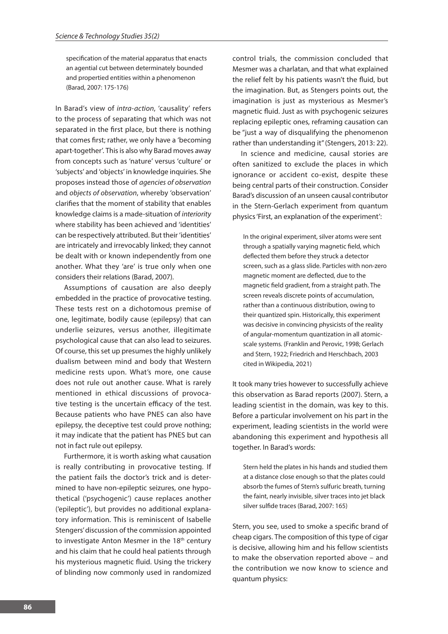specification of the material apparatus that enacts an agential cut between determinately bounded and propertied entities within a phenomenon (Barad, 2007: 175-176)

In Barad's view of *intra-action*, 'causality' refers to the process of separating that which was not separated in the first place, but there is nothing that comes first; rather, we only have a 'becoming apart-together'. This is also why Barad moves away from concepts such as 'nature' versus 'culture' or 'subjects' and 'objects' in knowledge inquiries. She proposes instead those of *agencies of observation*  and *objects of observation*, whereby 'observation' clarifies that the moment of stability that enables knowledge claims is a made-situation of *interiority*  where stability has been achieved and 'identities' can be respectively attributed. But their 'identities' are intricately and irrevocably linked; they cannot be dealt with or known independently from one another. What they 'are' is true only when one considers their relations (Barad, 2007).

Assumptions of causation are also deeply embedded in the practice of provocative testing. These tests rest on a dichotomous premise of one, legitimate, bodily cause (epilepsy) that can underlie seizures, versus another, illegitimate psychological cause that can also lead to seizures. Of course, this set up presumes the highly unlikely dualism between mind and body that Western medicine rests upon. What's more, one cause does not rule out another cause. What is rarely mentioned in ethical discussions of provocative testing is the uncertain efficacy of the test. Because patients who have PNES can also have epilepsy, the deceptive test could prove nothing; it may indicate that the patient has PNES but can not in fact rule out epilepsy.

Furthermore, it is worth asking what causation is really contributing in provocative testing. If the patient fails the doctor's trick and is determined to have non-epileptic seizures, one hypothetical ('psychogenic') cause replaces another ('epileptic'), but provides no additional explanatory information. This is reminiscent of Isabelle Stengers' discussion of the commission appointed to investigate Anton Mesmer in the 18<sup>th</sup> century and his claim that he could heal patients through his mysterious magnetic fluid. Using the trickery of blinding now commonly used in randomized control trials, the commission concluded that Mesmer was a charlatan, and that what explained the relief felt by his patients wasn't the fluid, but the imagination. But, as Stengers points out, the imagination is just as mysterious as Mesmer's magnetic fluid. Just as with psychogenic seizures replacing epileptic ones, reframing causation can be "just a way of disqualifying the phenomenon rather than understanding it" (Stengers, 2013: 22).

In science and medicine, causal stories are often sanitized to exclude the places in which ignorance or accident co-exist, despite these being central parts of their construction. Consider Barad's discussion of an unseen causal contributor in the Stern-Gerlach experiment from quantum physics 'First, an explanation of the experiment':

In the original experiment, silver atoms were sent through a spatially varying magnetic field, which deflected them before they struck a detector screen, such as a glass slide. Particles with non-zero magnetic moment are deflected, due to the magnetic field gradient, from a straight path. The screen reveals discrete points of accumulation, rather than a continuous distribution, owing to their quantized spin. Historically, this experiment was decisive in convincing physicists of the reality of angular-momentum quantization in all atomicscale systems. (Franklin and Perovic, 1998; Gerlach and Stern, 1922; Friedrich and Herschbach, 2003 cited in Wikipedia, 2021)

It took many tries however to successfully achieve this observation as Barad reports (2007). Stern, a leading scientist in the domain, was key to this. Before a particular involvement on his part in the experiment, leading scientists in the world were abandoning this experiment and hypothesis all together. In Barad's words:

Stern held the plates in his hands and studied them at a distance close enough so that the plates could absorb the fumes of Stern's sulfuric breath, turning the faint, nearly invisible, silver traces into jet black silver sulfide traces (Barad, 2007: 165)

Stern, you see, used to smoke a specific brand of cheap cigars. The composition of this type of cigar is decisive, allowing him and his fellow scientists to make the observation reported above – and the contribution we now know to science and quantum physics: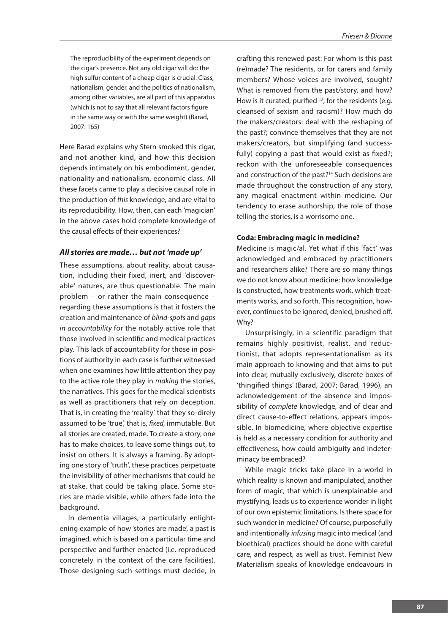The reproducibility of the experiment depends on the cigar's presence. Not any old cigar will do: the high sulfur content of a cheap cigar is crucial. Class, nationalism, gender, and the politics of nationalism, among other variables, are all part of this apparatus (which is not to say that all relevant factors figure in the same way or with the same weight) (Barad, 2007: 165)

Here Barad explains why Stern smoked this cigar, and not another kind, and how this decision depends intimately on his embodiment, gender, nationality and nationalism, economic class. All these facets came to play a decisive causal role in the production of *this* knowledge, and are vital to its reproducibility. How, then, can each 'magician' in the above cases hold complete knowledge of the causal effects of their experiences?

#### *All stories are made… but not 'made up'*

These assumptions, about reality, about causation, including their fixed, inert, and 'discoverable' natures, are thus questionable. The main problem – or rather the main consequence – regarding these assumptions is that it fosters the creation and maintenance of *blind-spots* and *gaps in accountability* for the notably active role that those involved in scientific and medical practices play. This lack of accountability for those in positions of authority in each case is further witnessed when one examines how little attention they pay to the active role they play in *making* the stories, the narratives. This goes for the medical scientists as well as practitioners that rely on deception. That is, in creating the 'reality' that they so-direly assumed to be 'true'*,* that is, *fixed,* immutable. But all stories are created, made. To create a story, one has to make choices, to leave some things out, to insist on others. It is always a framing. By adopting one story of 'truth', these practices perpetuate the invisibility of other mechanisms that could be at stake, that could be taking place. Some stories are made visible, while others fade into the background.

In dementia villages, a particularly enlightening example of how 'stories are made', a past is imagined, which is based on a particular time and perspective and further enacted (i.e. reproduced concretely in the context of the care facilities). Those designing such settings must decide, in

crafting this renewed past: For whom is this past (re)made? The residents, or for carers and family members? Whose voices are involved, sought? What is removed from the past/story, and how? How is it curated, purified  $^{13}$ , for the residents (e.g. cleansed of sexism and racism)? How much do the makers/creators: deal with the reshaping of the past?; convince themselves that they are not makers/creators, but simplifying (and successfully) copying a past that would exist as fixed?: reckon with the unforeseeable consequences and construction of the past?14 Such decisions are made throughout the construction of any story, any magical enactment within medicine. Our tendency to erase authorship, the role of those telling the stories, is a worrisome one.

#### **Coda: Embracing magic in medicine?**

Medicine is magic/al. Yet what if this 'fact' was acknowledged and embraced by practitioners and researchers alike? There are so many things we do not know about medicine: how knowledge is constructed, how treatments work, which treatments works, and so forth. This recognition, however, continues to be ignored, denied, brushed off. Why?

Unsurprisingly, in a scientific paradigm that remains highly positivist, realist, and reductionist, that adopts representationalism as its main approach to knowing and that aims to put into clear, mutually exclusively, discrete boxes of 'thingified things' (Barad, 2007; Barad, 1996), an acknowledgement of the absence and impossibility of *complete* knowledge, and of clear and direct cause-to-effect relations, appears impossible. In biomedicine, where objective expertise is held as a necessary condition for authority and effectiveness, how could ambiguity and indeterminacy be embraced?

While magic tricks take place in a world in which reality is known and manipulated, another form of magic, that which is unexplainable and mystifying, leads us to experience wonder in light of our own epistemic limitations. Is there space for such wonder in medicine? Of course, purposefully and intentionally *infusing* magic into medical (and bioethical) practices should be done with careful care, and respect, as well as trust. Feminist New Materialism speaks of knowledge endeavours in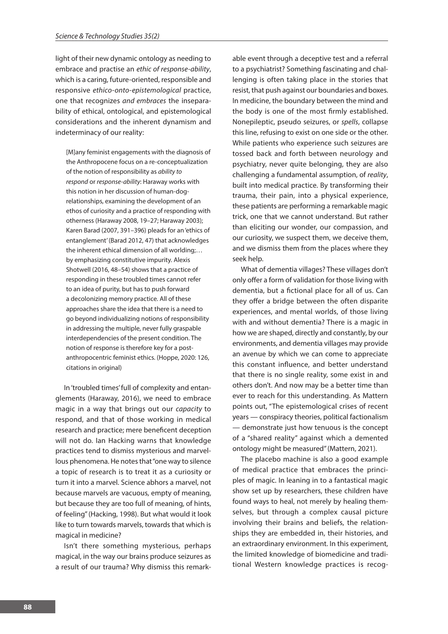light of their new dynamic ontology as needing to embrace and practise an *ethic of response-ability*, which is a caring, future-oriented, responsible and responsive *ethico-onto-epistemological* practice, one that recognizes *and embraces* the inseparability of ethical, ontological, and epistemological considerations and the inherent dynamism and indeterminacy of our reality:

[M]any feminist engagements with the diagnosis of the Anthropocene focus on a re-conceptualization of the notion of responsibility as *ability to respond* or *response-ability*: Haraway works with this notion in her discussion of human-dogrelationships, examining the development of an ethos of curiosity and a practice of responding with otherness (Haraway 2008, 19–27; Haraway 2003); Karen Barad (2007, 391–396) pleads for an 'ethics of entanglement' (Barad 2012, 47) that acknowledges the inherent ethical dimension of all worlding;… by emphasizing constitutive impurity. Alexis Shotwell (2016, 48–54) shows that a practice of responding in these troubled times cannot refer to an idea of purity, but has to push forward a decolonizing memory practice. All of these approaches share the idea that there is a need to go beyond individualizing notions of responsibility in addressing the multiple, never fully graspable interdependencies of the present condition. The notion of response is therefore key for a postanthropocentric feminist ethics. (Hoppe, 2020: 126, citations in original)

In 'troubled times' full of complexity and entanglements (Haraway, 2016), we need to embrace magic in a way that brings out our *capacity* to respond, and that of those working in medical research and practice; mere beneficent deception will not do. Ian Hacking warns that knowledge practices tend to dismiss mysterious and marvellous phenomena. He notes that "one way to silence a topic of research is to treat it as a curiosity or turn it into a marvel. Science abhors a marvel, not because marvels are vacuous, empty of meaning, but because they are too full of meaning, of hints, of feeling" (Hacking, 1998). But what would it look like to turn towards marvels, towards that which is magical in medicine?

Isn't there something mysterious, perhaps magical, in the way our brains produce seizures as a result of our trauma? Why dismiss this remark-

able event through a deceptive test and a referral to a psychiatrist? Something fascinating and challenging is often taking place in the stories that resist, that push against our boundaries and boxes. In medicine, the boundary between the mind and the body is one of the most firmly established. Nonepileptic, pseudo seizures, or *spells*, collapse this line, refusing to exist on one side or the other. While patients who experience such seizures are tossed back and forth between neurology and psychiatry, never quite belonging, they are also challenging a fundamental assumption, of *reality*, built into medical practice. By transforming their trauma, their pain, into a physical experience, these patients are performing a remarkable magic trick, one that we cannot understand. But rather than eliciting our wonder, our compassion, and our curiosity, we suspect them, we deceive them, and we dismiss them from the places where they seek help.

What of dementia villages? These villages don't only offer a form of validation for those living with dementia, but a fictional place for all of us. Can they offer a bridge between the often disparite experiences, and mental worlds, of those living with and without dementia? There is a magic in how we are shaped, directly and constantly, by our environments, and dementia villages may provide an avenue by which we can come to appreciate this constant influence, and better understand that there is no single reality, some exist in and others don't. And now may be a better time than ever to reach for this understanding. As Mattern points out, "The epistemological crises of recent years — conspiracy theories, political factionalism — demonstrate just how tenuous is the concept of a "shared reality" against which a demented ontology might be measured" (Mattern, 2021).

The placebo machine is also a good example of medical practice that embraces the principles of magic. In leaning in to a fantastical magic show set up by researchers, these children have found ways to heal, not merely by healing themselves, but through a complex causal picture involving their brains and beliefs, the relationships they are embedded in, their histories, and an extraordinary environment. In this experiment, the limited knowledge of biomedicine and traditional Western knowledge practices is recog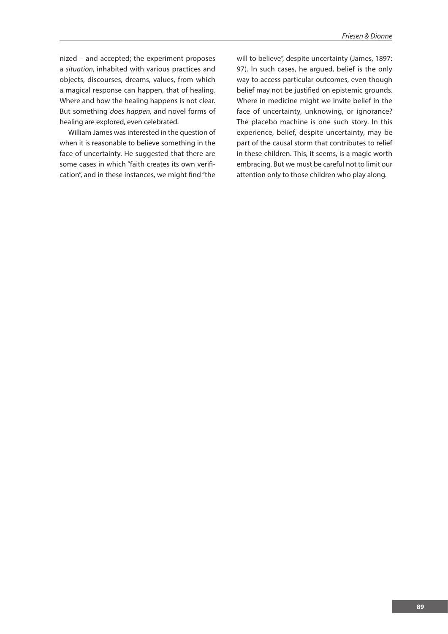nized – and accepted; the experiment proposes a *situation,* inhabited with various practices and objects, discourses, dreams, values, from which a magical response can happen, that of healing. Where and how the healing happens is not clear. But something *does happen,* and novel forms of healing are explored, even celebrated.

William James was interested in the question of when it is reasonable to believe something in the face of uncertainty. He suggested that there are some cases in which "faith creates its own verification", and in these instances, we might find "the

will to believe", despite uncertainty (James, 1897: 97). In such cases, he argued, belief is the only way to access particular outcomes, even though belief may not be justified on epistemic grounds. Where in medicine might we invite belief in the face of uncertainty, unknowing, or ignorance? The placebo machine is one such story. In this experience, belief, despite uncertainty, may be part of the causal storm that contributes to relief in these children. This, it seems, is a magic worth embracing. But we must be careful not to limit our attention only to those children who play along.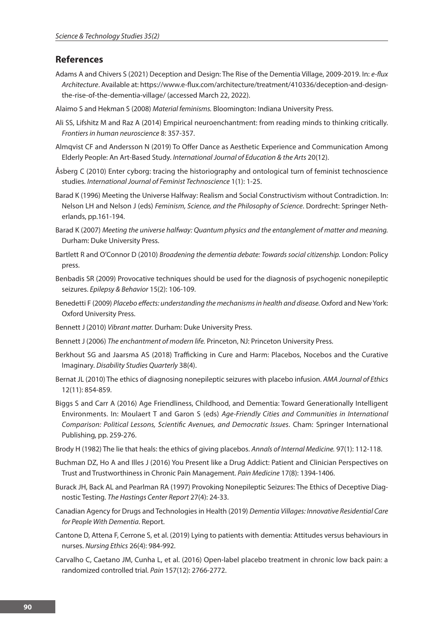## **References**

- Adams A and Chivers S (2021) Deception and Design: The Rise of the Dementia Village, 2009-2019. In: *e-flux Architecture*. Available at: https://www.e-flux.com/architecture/treatment/410336/deception-and-designthe-rise-of-the-dementia-village/ (accessed March 22, 2022).
- Alaimo S and Hekman S (2008) *Material feminisms.* Bloomington: Indiana University Press.
- Ali SS, Lifshitz M and Raz A (2014) Empirical neuroenchantment: from reading minds to thinking critically. *Frontiers in human neuroscience* 8: 357-357.
- Almqvist CF and Andersson N (2019) To Offer Dance as Aesthetic Experience and Communication Among Elderly People: An Art-Based Study. *International Journal of Education & the Arts* 20(12).
- Åsberg C (2010) Enter cyborg: tracing the historiography and ontological turn of feminist technoscience studies. *International Journal of Feminist Technoscience* 1(1): 1-25.
- Barad K (1996) Meeting the Universe Halfway: Realism and Social Constructivism without Contradiction. In: Nelson LH and Nelson J (eds) *Feminism, Science, and the Philosophy of Science*. Dordrecht: Springer Netherlands, pp.161-194.
- Barad K (2007) *Meeting the universe halfway: Quantum physics and the entanglement of matter and meaning.*  Durham: Duke University Press.
- Bartlett R and O'Connor D (2010) *Broadening the dementia debate: Towards social citizenship.* London: Policy press.
- Benbadis SR (2009) Provocative techniques should be used for the diagnosis of psychogenic nonepileptic seizures. *Epilepsy & Behavior* 15(2): 106-109.
- Benedetti F (2009) *Placebo effects: understanding the mechanisms in health and disease.* Oxford and New York: Oxford University Press.
- Bennett J (2010) *Vibrant matter.* Durham: Duke University Press.
- Bennett J (2006) *The enchantment of modern life.* Princeton, NJ: Princeton University Press.
- Berkhout SG and Jaarsma AS (2018) Trafficking in Cure and Harm: Placebos, Nocebos and the Curative Imaginary. *Disability Studies Quarterly* 38(4).
- Bernat JL (2010) The ethics of diagnosing nonepileptic seizures with placebo infusion. *AMA Journal of Ethics* 12(11): 854-859.
- Biggs S and Carr A (2016) Age Friendliness, Childhood, and Dementia: Toward Generationally Intelligent Environments. In: Moulaert T and Garon S (eds) *Age-Friendly Cities and Communities in International Comparison: Political Lessons, Scientific Avenues, and Democratic Issues*. Cham: Springer International Publishing, pp. 259-276.
- Brody H (1982) The lie that heals: the ethics of giving placebos. *Annals of Internal Medicine.* 97(1): 112-118.
- Buchman DZ, Ho A and Illes J (2016) You Present like a Drug Addict: Patient and Clinician Perspectives on Trust and Trustworthiness in Chronic Pain Management. *Pain Medicine* 17(8): 1394-1406.
- Burack JH, Back AL and Pearlman RA (1997) Provoking Nonepileptic Seizures: The Ethics of Deceptive Diagnostic Testing. *The Hastings Center Report* 27(4): 24-33.
- Canadian Agency for Drugs and Technologies in Health (2019) *Dementia Villages: Innovative Residential Care for People With Dementia*. Report.
- Cantone D, Attena F, Cerrone S, et al. (2019) Lying to patients with dementia: Attitudes versus behaviours in nurses. *Nursing Ethics* 26(4): 984-992.
- Carvalho C, Caetano JM, Cunha L, et al. (2016) Open-label placebo treatment in chronic low back pain: a randomized controlled trial. *Pain* 157(12): 2766-2772.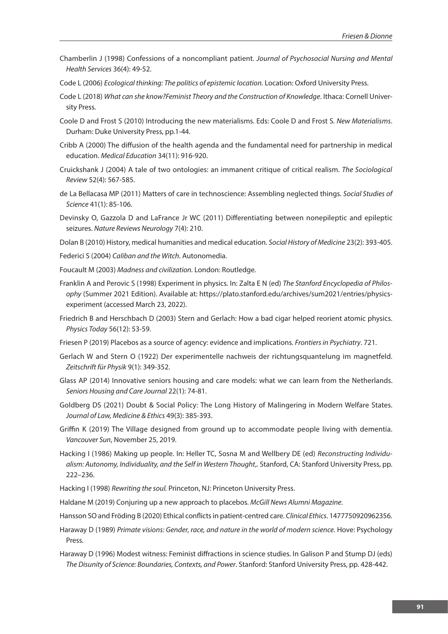- Chamberlin J (1998) Confessions of a noncompliant patient. *Journal of Psychosocial Nursing and Mental Health Services* 36(4): 49-52.
- Code L (2006) *Ecological thinking: The politics of epistemic location.* Location: Oxford University Press.
- Code L (2018) *What can she know?Feminist Theory and the Construction of Knowledge*. Ithaca: Cornell University Press.
- Coole D and Frost S (2010) Introducing the new materialisms. Eds: Coole D and Frost S*. New Materialisms*. Durham: Duke University Press, pp.1-44.
- Cribb A (2000) The diffusion of the health agenda and the fundamental need for partnership in medical education. *Medical Education* 34(11): 916-920.
- Cruickshank J (2004) A tale of two ontologies: an immanent critique of critical realism. *The Sociological Review* 52(4): 567-585.
- de La Bellacasa MP (2011) Matters of care in technoscience: Assembling neglected things. *Social Studies of Science* 41(1): 85-106.
- Devinsky O, Gazzola D and LaFrance Jr WC (2011) Differentiating between nonepileptic and epileptic seizures. *Nature Reviews Neurology* 7(4): 210.
- Dolan B (2010) History, medical humanities and medical education. *Social History of Medicine* 23(2): 393-405.
- Federici S (2004) *Caliban and the Witch.* Autonomedia.
- Foucault M (2003) *Madness and civilization.* London: Routledge.
- Franklin A and Perovic S (1998) Experiment in physics. In: Zalta E N (ed) *The Stanford Encyclopedia of Philosophy* (Summer 2021 Edition). Available at: https://plato.stanford.edu/archives/sum2021/entries/physicsexperiment (accessed March 23, 2022).
- Friedrich B and Herschbach D (2003) Stern and Gerlach: How a bad cigar helped reorient atomic physics. *Physics Today* 56(12): 53-59.
- Friesen P (2019) Placebos as a source of agency: evidence and implications. *Frontiers in Psychiatry*. 721.
- Gerlach W and Stern O (1922) Der experimentelle nachweis der richtungsquantelung im magnetfeld. *Zeitschrift für Physik* 9(1): 349-352.
- Glass AP (2014) Innovative seniors housing and care models: what we can learn from the Netherlands. *Seniors Housing and Care Journal* 22(1): 74-81.
- Goldberg DS (2021) Doubt & Social Policy: The Long History of Malingering in Modern Welfare States. *Journal of Law, Medicine & Ethics* 49(3): 385-393.
- Griffin K (2019) The Village designed from ground up to accommodate people living with dementia. *Vancouver Sun*, November 25, 2019.
- Hacking I (1986) Making up people. In: Heller TC, Sosna M and Wellbery DE (ed) *Reconstructing Individualism: Autonomy, Individuality, and the Self in Western Thought*,. Stanford, CA: Stanford University Press, pp. 222–236.
- Hacking I (1998) *Rewriting the soul.* Princeton, NJ: Princeton University Press.
- Haldane M (2019) Conjuring up a new approach to placebos. *McGill News Alumni Magazine*.
- Hansson SO and Fröding B (2020) Ethical conflicts in patient-centred care. *Clinical Ethics*. 1477750920962356.
- Haraway D (1989) *Primate visions: Gender, race, and nature in the world of modern science.* Hove: Psychology Press.
- Haraway D (1996) Modest witness: Feminist diffractions in science studies. In Galison P and Stump DJ (eds) *The Disunity of Science: Boundaries, Contexts, and Power*. Stanford: Stanford University Press, pp. 428-442.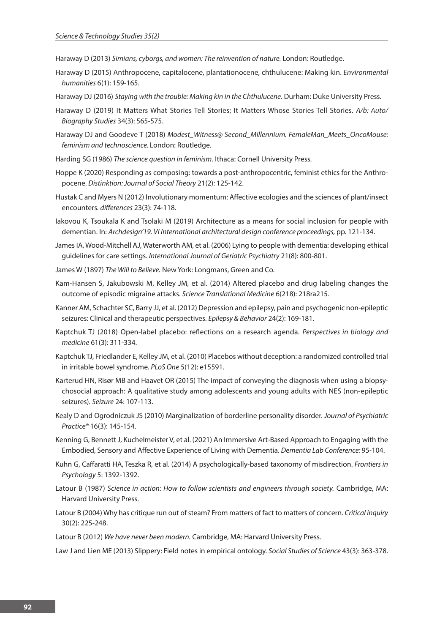Haraway D (2013) *Simians, cyborgs, and women: The reinvention of nature.* London: Routledge.

- Haraway D (2015) Anthropocene, capitalocene, plantationocene, chthulucene: Making kin. *Environmental humanities* 6(1): 159-165.
- Haraway DJ (2016) *Staying with the trouble: Making kin in the Chthulucene.* Durham: Duke University Press.
- Haraway D (2019) It Matters What Stories Tell Stories; It Matters Whose Stories Tell Stories. *A/b: Auto/ Biography Studies* 34(3): 565-575.
- Haraway DJ and Goodeve T (2018) *Modest\_Witness@ Second\_Millennium. FemaleMan\_Meets\_OncoMouse: feminism and technoscience.* London: Routledge.
- Harding SG (1986) *The science question in feminism.* Ithaca: Cornell University Press.
- Hoppe K (2020) Responding as composing: towards a post-anthropocentric, feminist ethics for the Anthropocene. *Distinktion: Journal of Social Theory* 21(2): 125-142.
- Hustak C and Myers N (2012) Involutionary momentum: Affective ecologies and the sciences of plant/insect encounters. *differences* 23(3): 74-118.
- Iakovou K, Tsoukala K and Tsolaki M (2019) Architecture as a means for social inclusion for people with dementian. In: *Archdesign'19. VI International architectural design conference proceedings,* pp. 121-134.
- James IA, Wood-Mitchell AJ, Waterworth AM, et al. (2006) Lying to people with dementia: developing ethical guidelines for care settings. *International Journal of Geriatric Psychiatry* 21(8): 800-801.
- James W (1897) *The Will to Believe.* New York: Longmans, Green and Co.
- Kam-Hansen S, Jakubowski M, Kelley JM, et al. (2014) Altered placebo and drug labeling changes the outcome of episodic migraine attacks. *Science Translational Medicine* 6(218): 218ra215.
- Kanner AM, Schachter SC, Barry JJ, et al. (2012) Depression and epilepsy, pain and psychogenic non-epileptic seizures: Clinical and therapeutic perspectives. *Epilepsy & Behavior* 24(2): 169-181.
- Kaptchuk TJ (2018) Open-label placebo: reflections on a research agenda. *Perspectives in biology and medicine* 61(3): 311-334.
- Kaptchuk TJ, Friedlander E, Kelley JM, et al. (2010) Placebos without deception: a randomized controlled trial in irritable bowel syndrome. *PLoS One* 5(12): e15591.
- Karterud HN, Risør MB and Haavet OR (2015) The impact of conveying the diagnosis when using a biopsychosocial approach: A qualitative study among adolescents and young adults with NES (non-epileptic seizures). *Seizure* 24: 107-113.
- Kealy D and Ogrodniczuk JS (2010) Marginalization of borderline personality disorder. *Journal of Psychiatric Practice®* 16(3): 145-154.
- Kenning G, Bennett J, Kuchelmeister V, et al. (2021) An Immersive Art-Based Approach to Engaging with the Embodied, Sensory and Affective Experience of Living with Dementia. *Dementia Lab Conference:* 95-104.
- Kuhn G, Caffaratti HA, Teszka R, et al. (2014) A psychologically-based taxonomy of misdirection. *Frontiers in Psychology* 5: 1392-1392.
- Latour B (1987) *Science in action: How to follow scientists and engineers through society.* Cambridge, MA: Harvard University Press.
- Latour B (2004) Why has critique run out of steam? From matters of fact to matters of concern. *Critical inquiry* 30(2): 225-248.
- Latour B (2012) *We have never been modern.* Cambridge, MA: Harvard University Press.

Law J and Lien ME (2013) Slippery: Field notes in empirical ontology. *Social Studies of Science* 43(3): 363-378.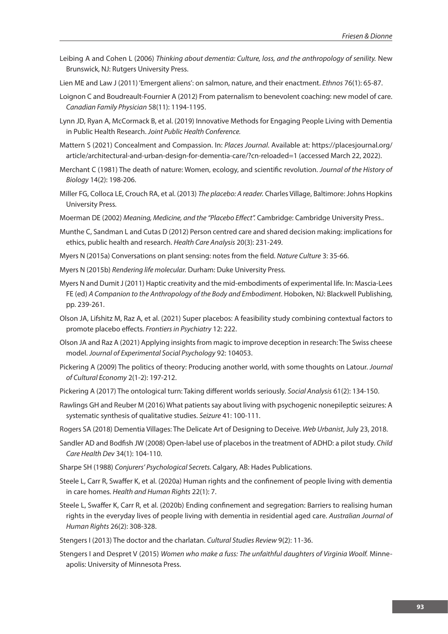- Leibing A and Cohen L (2006) *Thinking about dementia: Culture, loss, and the anthropology of senility.* New Brunswick, NJ: Rutgers University Press.
- Lien ME and Law J (2011) 'Emergent aliens': on salmon, nature, and their enactment. *Ethnos* 76(1): 65-87.
- Loignon C and Boudreault-Fournier A (2012) From paternalism to benevolent coaching: new model of care. *Canadian Family Physician* 58(11): 1194-1195.
- Lynn JD, Ryan A, McCormack B, et al. (2019) Innovative Methods for Engaging People Living with Dementia in Public Health Research. *Joint Public Health Conference.*
- Mattern S (2021) Concealment and Compassion. In: *Places Journal*. Available at: https://placesjournal.org/ article/architectural-and-urban-design-for-dementia-care/?cn-reloaded=1 (accessed March 22, 2022).
- Merchant C (1981) The death of nature: Women, ecology, and scientific revolution. *Journal of the History of Biology* 14(2): 198-206.
- Miller FG, Colloca LE, Crouch RA, et al. (2013) *The placebo: A reader.* Charles Village, Baltimore: Johns Hopkins University Press.
- Moerman DE (2002) *Meaning, Medicine, and the "Placebo Effect".* Cambridge: Cambridge University Press..
- Munthe C, Sandman L and Cutas D (2012) Person centred care and shared decision making: implications for ethics, public health and research. *Health Care Analysis* 20(3): 231-249.
- Myers N (2015a) Conversations on plant sensing: notes from the field. *Nature Culture* 3: 35-66.
- Myers N (2015b) *Rendering life molecular.* Durham: Duke University Press.
- Myers N and Dumit J (2011) Haptic creativity and the mid-embodiments of experimental life. In: Mascia-Lees FE (ed) *A Companion to the Anthropology of the Body and Embodiment*. Hoboken, NJ: Blackwell Publishing, pp. 239-261.
- Olson JA, Lifshitz M, Raz A, et al. (2021) Super placebos: A feasibility study combining contextual factors to promote placebo effects. *Frontiers in Psychiatry* 12: 222.
- Olson JA and Raz A (2021) Applying insights from magic to improve deception in research: The Swiss cheese model. *Journal of Experimental Social Psychology* 92: 104053.
- Pickering A (2009) The politics of theory: Producing another world, with some thoughts on Latour. *Journal of Cultural Economy* 2(1-2): 197-212.
- Pickering A (2017) The ontological turn: Taking different worlds seriously. *Social Analysis* 61(2): 134-150.
- Rawlings GH and Reuber M (2016) What patients say about living with psychogenic nonepileptic seizures: A systematic synthesis of qualitative studies. *Seizure* 41: 100-111.
- Rogers SA (2018) Dementia Villages: The Delicate Art of Designing to Deceive. *Web Urbanist*, July 23, 2018.
- Sandler AD and Bodfish JW (2008) Open-label use of placebos in the treatment of ADHD: a pilot study. *Child Care Health Dev* 34(1): 104-110.
- Sharpe SH (1988) *Conjurers' Psychological Secrets.* Calgary, AB: Hades Publications.
- Steele L, Carr R, Swaffer K, et al. (2020a) Human rights and the confinement of people living with dementia in care homes. *Health and Human Rights* 22(1): 7.
- Steele L, Swaffer K, Carr R, et al. (2020b) Ending confinement and segregation: Barriers to realising human rights in the everyday lives of people living with dementia in residential aged care. *Australian Journal of Human Rights* 26(2): 308-328.
- Stengers I (2013) The doctor and the charlatan. *Cultural Studies Review* 9(2): 11-36.
- Stengers I and Despret V (2015) *Women who make a fuss: The unfaithful daughters of Virginia Woolf.* Minneapolis: University of Minnesota Press.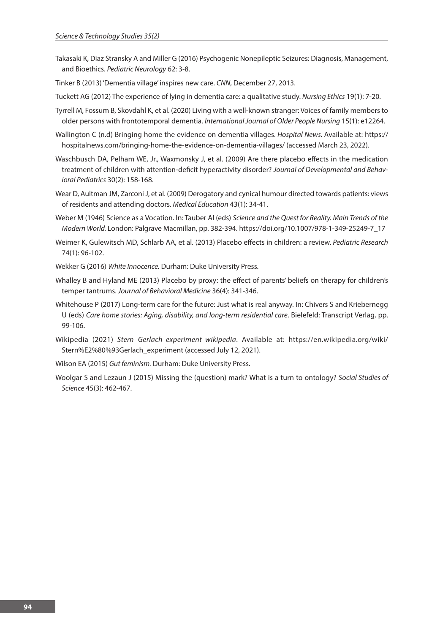- Takasaki K, Diaz Stransky A and Miller G (2016) Psychogenic Nonepileptic Seizures: Diagnosis, Management, and Bioethics. *Pediatric Neurology* 62: 3-8.
- Tinker B (2013) 'Dementia village' inspires new care. *CNN*, December 27, 2013.
- Tuckett AG (2012) The experience of lying in dementia care: a qualitative study. *Nursing Ethics* 19(1): 7-20.
- Tyrrell M, Fossum B, Skovdahl K, et al. (2020) Living with a well-known stranger: Voices of family members to older persons with frontotemporal dementia. *International Journal of Older People Nursing* 15(1): e12264.
- Wallington C (n.d) Bringing home the evidence on dementia villages. *Hospital News.* Available at: https:// hospitalnews.com/bringing-home-the-evidence-on-dementia-villages/ (accessed March 23, 2022).
- Waschbusch DA, Pelham WE, Jr., Waxmonsky J, et al. (2009) Are there placebo effects in the medication treatment of children with attention-deficit hyperactivity disorder? *Journal of Developmental and Behavioral Pediatrics* 30(2): 158-168.
- Wear D, Aultman JM, Zarconi J, et al. (2009) Derogatory and cynical humour directed towards patients: views of residents and attending doctors. *Medical Education* 43(1): 34-41.
- Weber M (1946) Science as a Vocation. In: Tauber AI (eds) *Science and the Quest for Reality. Main Trends of the Modern World.* London: Palgrave Macmillan, pp. 382-394. https://doi.org/10.1007/978-1-349-25249-7\_17
- Weimer K, Gulewitsch MD, Schlarb AA, et al. (2013) Placebo effects in children: a review. *Pediatric Research* 74(1): 96-102.
- Wekker G (2016) *White Innocence.* Durham: Duke University Press.
- Whalley B and Hyland ME (2013) Placebo by proxy: the effect of parents' beliefs on therapy for children's temper tantrums. *Journal of Behavioral Medicine* 36(4): 341-346.
- Whitehouse P (2017) Long-term care for the future: Just what is real anyway. In: Chivers S and Kriebernegg U (eds) *Care home stories: Aging, disability, and long-term residential care*. Bielefeld: Transcript Verlag, pp. 99-106.
- Wikipedia (2021) *Stern–Gerlach experiment wikipedia*. Available at: https://en.wikipedia.org/wiki/ Stern%E2%80%93Gerlach\_experiment (accessed July 12, 2021).
- Wilson EA (2015) *Gut feminism.* Durham: Duke University Press.
- Woolgar S and Lezaun J (2015) Missing the (question) mark? What is a turn to ontology? *Social Studies of Science* 45(3): 462-467.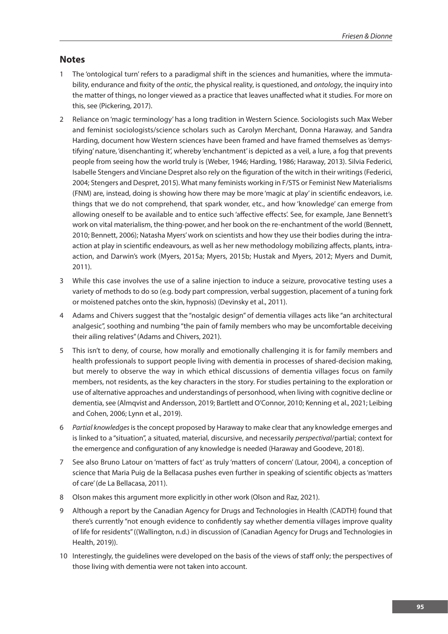# **Notes**

- 1 The 'ontological turn' refers to a paradigmal shift in the sciences and humanities, where the immutability, endurance and fixity of the *ontic*, the physical reality, is questioned, and *ontology*, the inquiry into the matter of things, no longer viewed as a practice that leaves unaffected what it studies. For more on this, see (Pickering, 2017).
- 2 Reliance on 'magic terminology' has a long tradition in Western Science. Sociologists such Max Weber and feminist sociologists/science scholars such as Carolyn Merchant, Donna Haraway, and Sandra Harding, document how Western sciences have been framed and have framed themselves as 'demystifying' nature, 'disenchanting it', whereby 'enchantment' is depicted as a veil, a lure, a fog that prevents people from seeing how the world truly is (Weber, 1946; Harding, 1986; Haraway, 2013). Silvia Federici, Isabelle Stengers and Vinciane Despret also rely on the figuration of the witch in their writings (Federici, 2004; Stengers and Despret, 2015). What many feminists working in F/STS or Feminist New Materialisms (FNM) are, instead, doing is showing how there may be more 'magic at play' in scientific endeavors, i.e. things that we do not comprehend, that spark wonder, etc., and how 'knowledge' can emerge from allowing oneself to be available and to entice such 'affective effects'. See, for example, Jane Bennett's work on vital materialism, the thing-power, and her book on the re-enchantment of the world (Bennett, 2010; Bennett, 2006); Natasha Myers' work on scientists and how they use their bodies during the intraaction at play in scientific endeavours, as well as her new methodology mobilizing affects, plants, intraaction, and Darwin's work (Myers, 2015a; Myers, 2015b; Hustak and Myers, 2012; Myers and Dumit, 2011).
- 3 While this case involves the use of a saline injection to induce a seizure, provocative testing uses a variety of methods to do so (e.g. body part compression, verbal suggestion, placement of a tuning fork or moistened patches onto the skin, hypnosis) (Devinsky et al., 2011).
- 4 Adams and Chivers suggest that the "nostalgic design" of dementia villages acts like "an architectural analgesic", soothing and numbing "the pain of family members who may be uncomfortable deceiving their ailing relatives" (Adams and Chivers, 2021).
- 5 This isn't to deny, of course, how morally and emotionally challenging it is for family members and health professionals to support people living with dementia in processes of shared-decision making, but merely to observe the way in which ethical discussions of dementia villages focus on family members, not residents, as the key characters in the story. For studies pertaining to the exploration or use of alternative approaches and understandings of personhood, when living with cognitive decline or dementia, see (Almqvist and Andersson, 2019; Bartlett and O'Connor, 2010; Kenning et al., 2021; Leibing and Cohen, 2006; Lynn et al., 2019).
- 6 *Partial knowledges* is the concept proposed by Haraway to make clear that any knowledge emerges and is linked to a "situation", a situated, material, discursive, and necessarily *perspectival*/partial; context for the emergence and configuration of any knowledge is needed (Haraway and Goodeve, 2018).
- 7 See also Bruno Latour on 'matters of fact' as truly 'matters of concern' (Latour, 2004), a conception of science that Maria Puig de la Bellacasa pushes even further in speaking of scientific objects as 'matters of care' (de La Bellacasa, 2011).
- 8 Olson makes this argument more explicitly in other work (Olson and Raz, 2021).
- 9 Although a report by the Canadian Agency for Drugs and Technologies in Health (CADTH) found that there's currently "not enough evidence to confidently say whether dementia villages improve quality of life for residents" ((Wallington, n.d.) in discussion of (Canadian Agency for Drugs and Technologies in Health, 2019)).
- 10 Interestingly, the guidelines were developed on the basis of the views of staff only; the perspectives of those living with dementia were not taken into account.